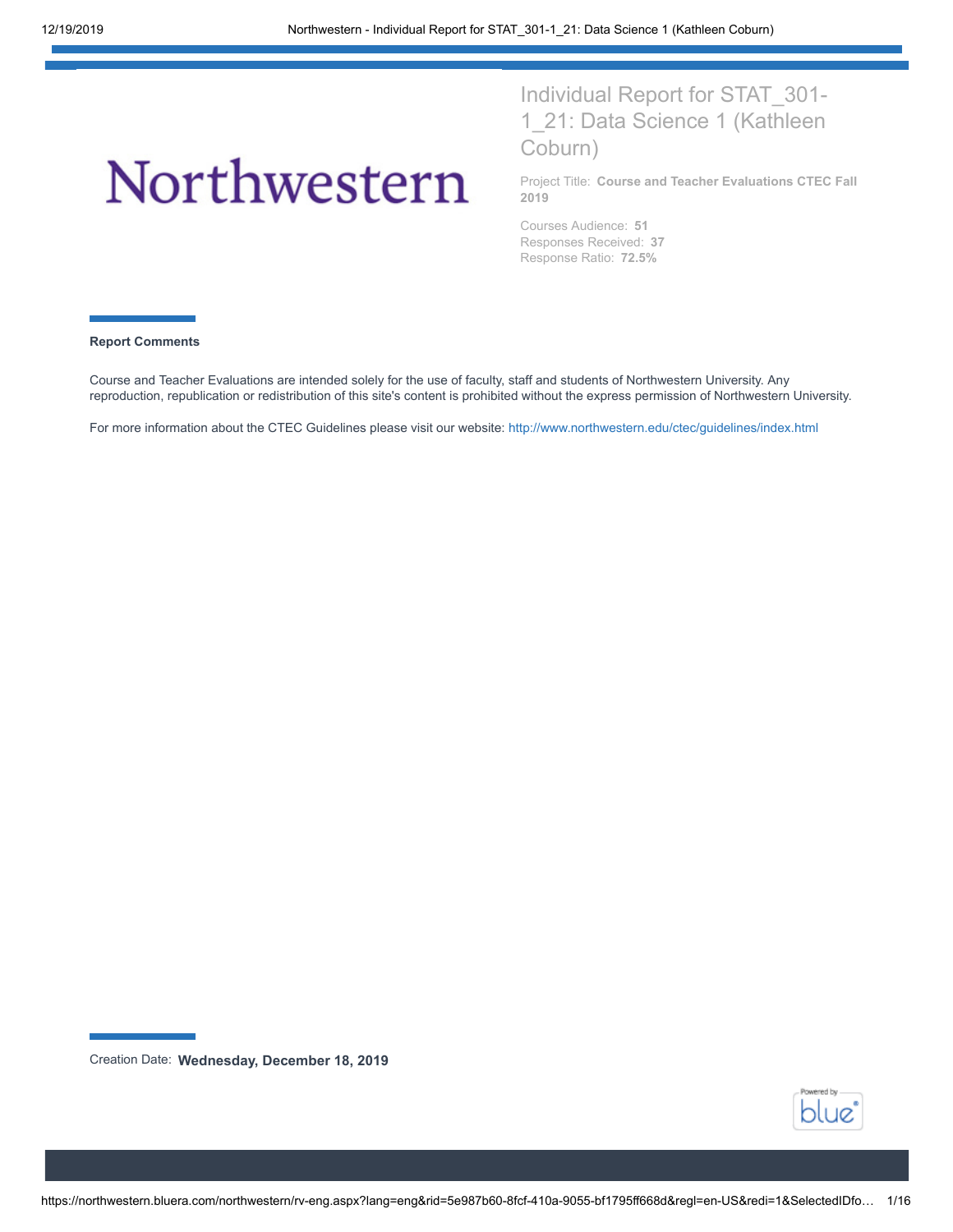# Northwestern

Individual Report for STAT\_301- 1 21: Data Science 1 (Kathleen Coburn)

Project Title: **Course and Teacher Evaluations CTEC Fall 2019**

Courses Audience: **51** Responses Received: **37** Response Ratio: **72.5%**

#### **Report Comments**

Course and Teacher Evaluations are intended solely for the use of faculty, staff and students of Northwestern University. Any reproduction, republication or redistribution of this site's content is prohibited without the express permission of Northwestern University.

For more information about the CTEC Guidelines please visit our website: <http://www.northwestern.edu/ctec/guidelines/index.html>



Creation Date: **Wednesday, December 18, 2019**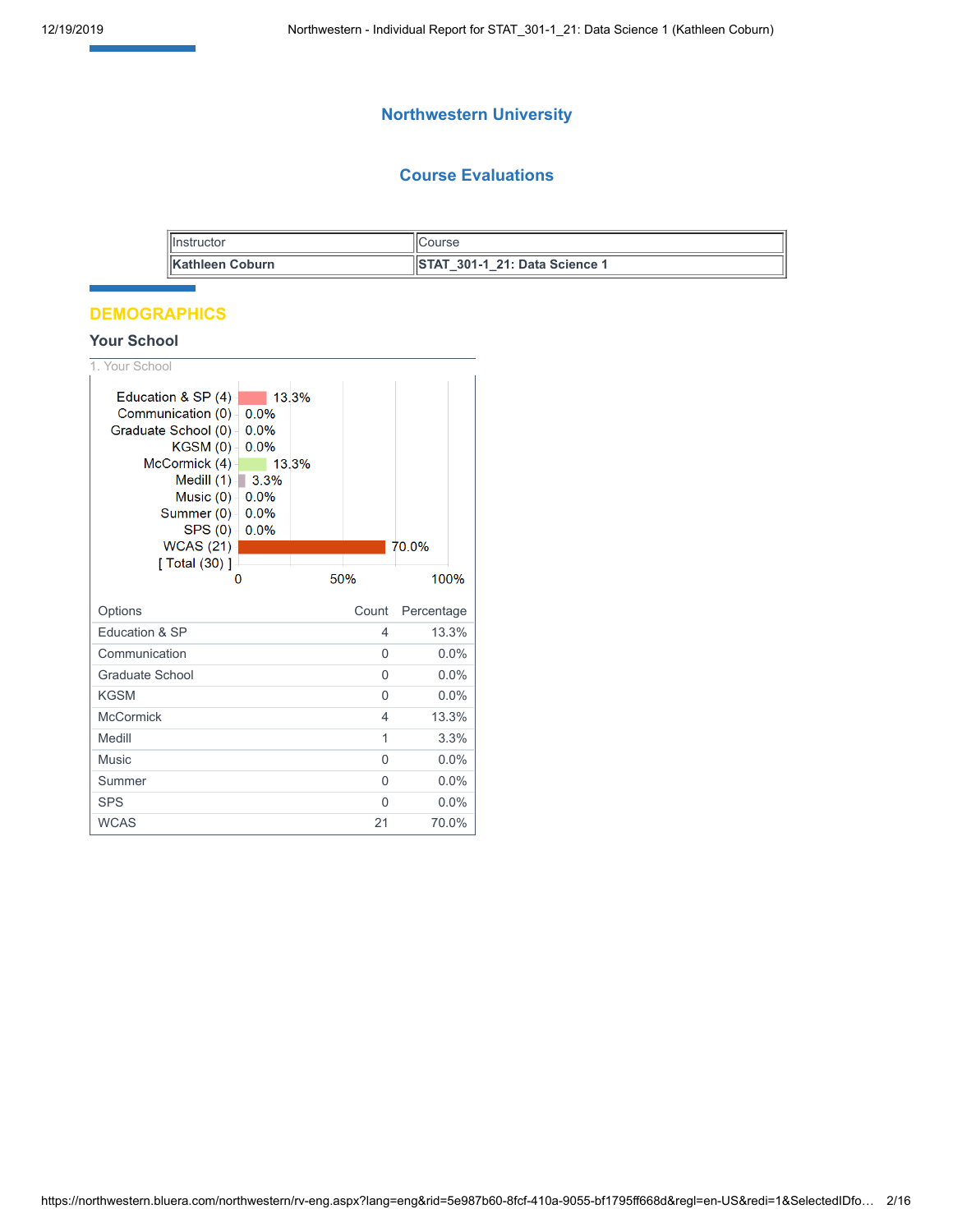# **Northwestern University**

## **Course Evaluations**

| <b>Illnstructor</b>     | Course                               |
|-------------------------|--------------------------------------|
| <b>IKathleen Coburn</b> | <b>STAT 301-1 21: Data Science 1</b> |

## **DEMOGRAPHICS**

## **Your School**

| 1. Your School                                                                                                                                                                                      |                                              |                |                |            |
|-----------------------------------------------------------------------------------------------------------------------------------------------------------------------------------------------------|----------------------------------------------|----------------|----------------|------------|
| Education & SP $(4)$<br>Communication (0)<br>Graduate School (0)-<br>KGSM(0)<br>McCormick (4)<br>Medill $(1)$ 3.3%<br>Music $(0)$ -<br>Summer (0) -<br>SPS(0)<br><b>WCAS (21)</b><br>[ Total (30) ] | 0.0%<br>0.0%<br>0.0%<br>0.0%<br>0.0%<br>0.0% | 13.3%<br>13.3% |                | 70.0%      |
|                                                                                                                                                                                                     |                                              |                | 50%            | 100%       |
|                                                                                                                                                                                                     |                                              |                |                |            |
| Options                                                                                                                                                                                             |                                              |                | Count          | Percentage |
| Education & SP                                                                                                                                                                                      |                                              |                | 4              | 13.3%      |
| Communication                                                                                                                                                                                       |                                              |                | $\Omega$       | 0.0%       |
| Graduate School                                                                                                                                                                                     |                                              |                | 0              | 0.0%       |
| <b>KGSM</b>                                                                                                                                                                                         |                                              |                | 0              | 0.0%       |
| <b>McCormick</b>                                                                                                                                                                                    |                                              |                | $\overline{4}$ | 13.3%      |
| Medill                                                                                                                                                                                              |                                              |                | 1              | 3.3%       |
| <b>Music</b>                                                                                                                                                                                        |                                              |                | 0              | 0.0%       |
| Summer                                                                                                                                                                                              |                                              |                | $\Omega$       | $0.0\%$    |
| <b>SPS</b>                                                                                                                                                                                          |                                              |                | 0              | 0.0%       |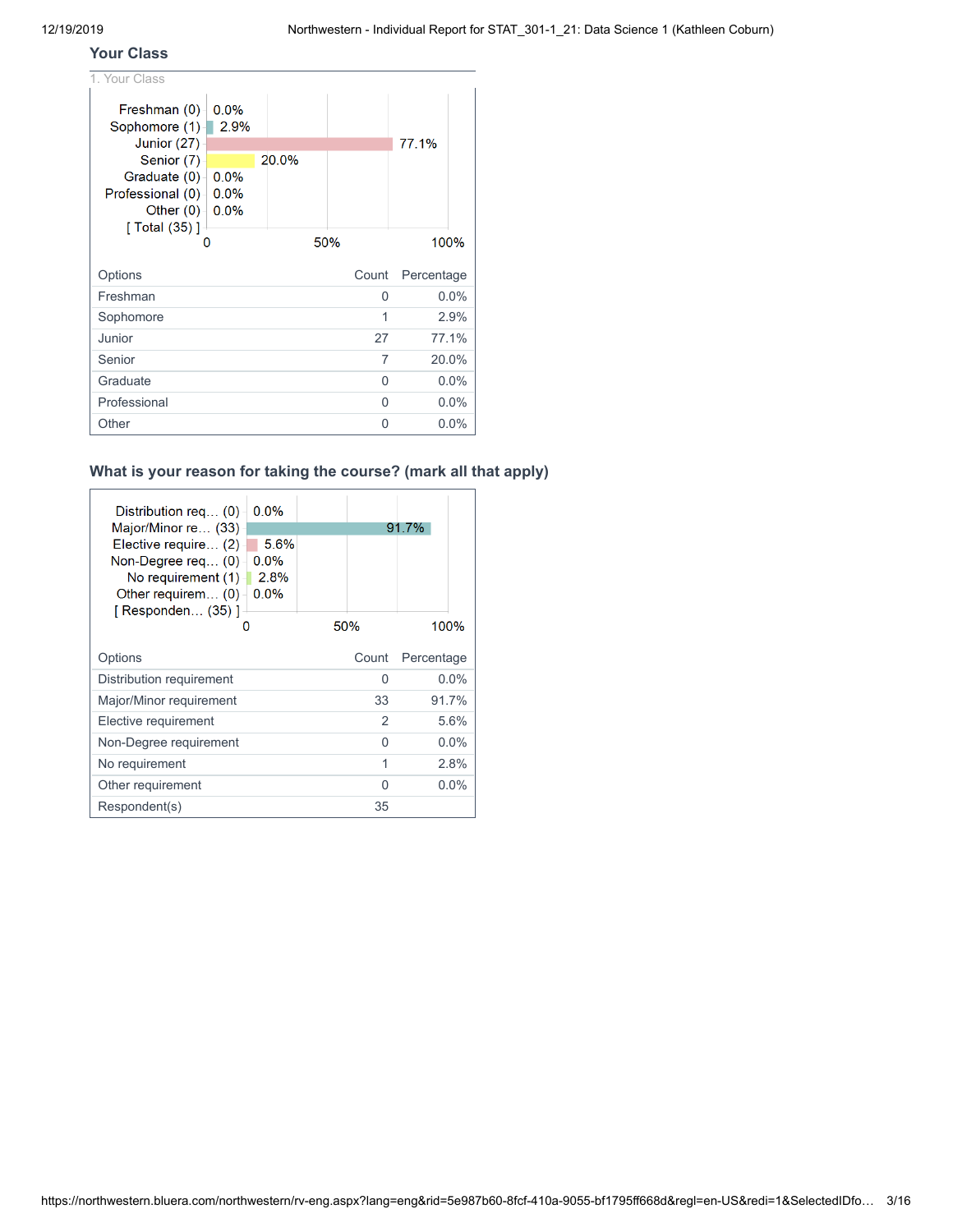## **Your Class**

| 1. Your Class                 |              |       |       |            |
|-------------------------------|--------------|-------|-------|------------|
| Freshman (0)<br>Sophomore (1) | 0.0%<br>2.9% |       |       |            |
| Junior (27)                   |              |       |       | 77.1%      |
| Senior (7)<br>Graduate $(0)$  | 0.0%         | 20.0% |       |            |
| <b>Professional</b> (0) -     | 0.0%         |       |       |            |
| Other $(0)$ $\vdash$          | $0.0\%$      |       |       |            |
| [ Total (35) ]                |              |       |       |            |
|                               |              |       | 50%   | 100%       |
|                               |              |       |       |            |
| Options                       |              |       | Count | Percentage |
| Freshman                      |              |       | 0     | $0.0\%$    |
| Sophomore                     |              |       | 1     | 2.9%       |
| Junior                        |              |       | 27    | 77.1%      |
| Senior                        |              |       | 7     | 20.0%      |
| Graduate                      |              |       | 0     | $0.0\%$    |
| Professional                  |              |       | 0     | 0.0%       |

## **What is your reason for taking the course? (mark all that apply)**

| Distribution req (0)                                                                                                  | $0.0\%$                         |       |            |  |
|-----------------------------------------------------------------------------------------------------------------------|---------------------------------|-------|------------|--|
| Major/Minor re (33)                                                                                                   |                                 |       | 91.7%      |  |
| Elective require (2)<br>Non-Degree req… (0) -<br>No requirement (1)<br>Other requirem $(0)$<br>$[$ Responden $(35)$ ] | 5.6%<br>$0.0\%$<br>2.8%<br>0.0% |       |            |  |
|                                                                                                                       | O                               | 50%   | 100%       |  |
| Options                                                                                                               |                                 | Count | Percentage |  |
| Distribution requirement                                                                                              |                                 | U     | $0.0\%$    |  |
| Major/Minor requirement                                                                                               |                                 | 33    | 91.7%      |  |
| Elective requirement                                                                                                  |                                 | 2     | 5.6%       |  |
| Non-Degree requirement                                                                                                |                                 | U     | $0.0\%$    |  |
| No requirement                                                                                                        |                                 | 1     | 2.8%       |  |
| Other requirement                                                                                                     |                                 | ∩     | $0.0\%$    |  |
| Respondent(s)                                                                                                         |                                 | 35    |            |  |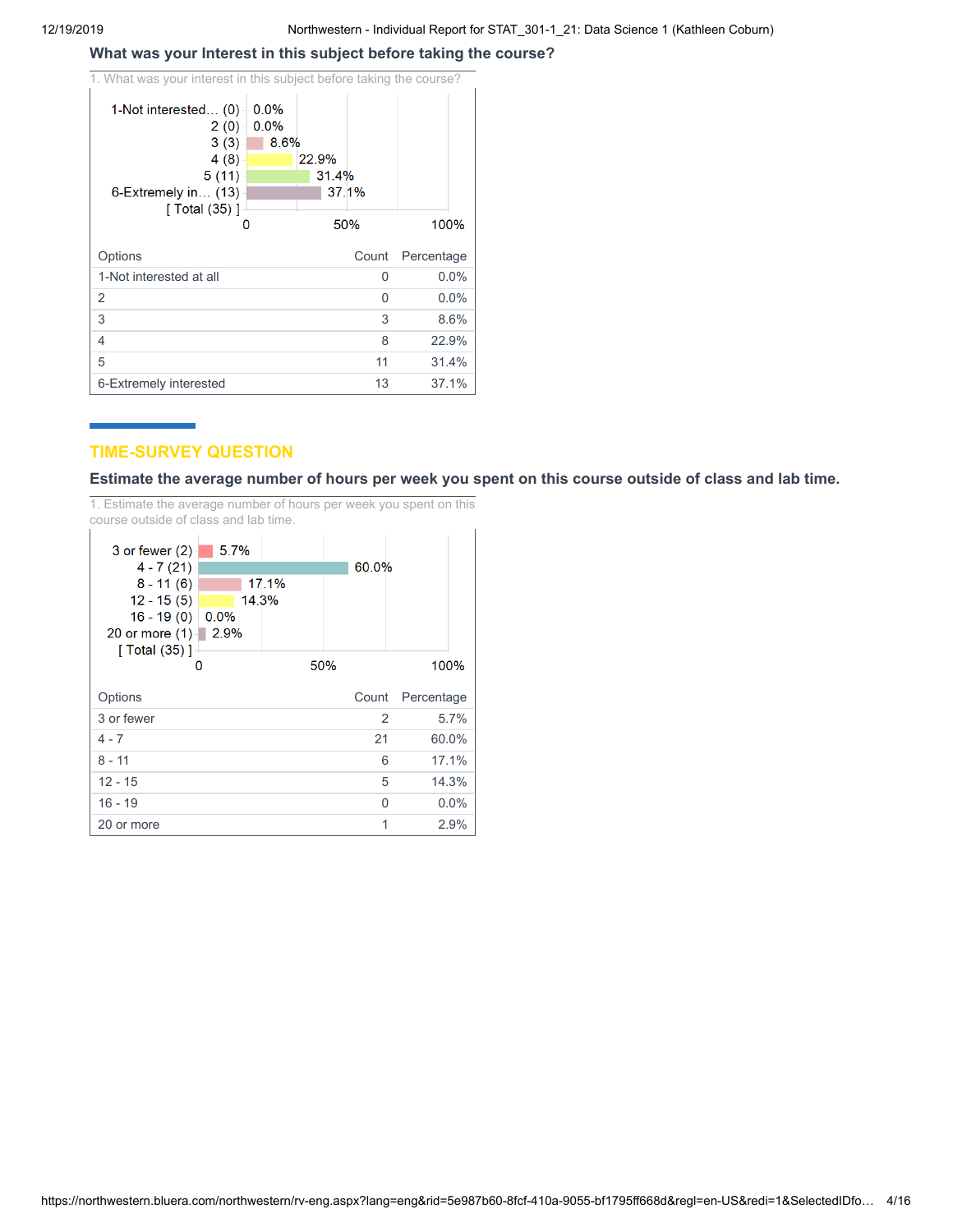# **What was your Interest in this subject before taking the course?**

| 1. What was your interest in this subject before taking the course?<br>1-Not interested (0)<br>0.0%<br>0.0%<br>2(0)<br>3(3)<br>8.6%<br>4(8)<br>5(11) | 22.9%<br>31.4% |            |
|------------------------------------------------------------------------------------------------------------------------------------------------------|----------------|------------|
| $6$ -Extremely in $(13)$<br>$\lceil$ Total (35) $\rceil$                                                                                             | 37.1%          |            |
| O                                                                                                                                                    | 50%            | 100%       |
|                                                                                                                                                      |                |            |
| Options                                                                                                                                              | Count          | Percentage |
| 1-Not interested at all                                                                                                                              | 0              | 0.0%       |
| 2                                                                                                                                                    | 0              | 0.0%       |
| 3                                                                                                                                                    | 3              | 8.6%       |
| 4                                                                                                                                                    | 8              | 22.9%      |
| 5                                                                                                                                                    | 11             | 31.4%      |

## **TIME-SURVEY QUESTION**

Estimate the average number of hours per week you spent on this course outside of class and lab time.

1. Estimate the average number of hours per week you spent on this course outside of class and lab time.

| 5.7%<br>$3$ or fewer $(2)$<br>$4 - 7(21)$<br>17.1%<br>$8 - 11(6)$<br>14.3%<br>$12 - 15(5)$<br>$16 - 19(0) - 0.0%$<br>20 or more $(1)$   2.9%<br>[ Total (35) ] |     | 60.0% |            |
|----------------------------------------------------------------------------------------------------------------------------------------------------------------|-----|-------|------------|
|                                                                                                                                                                | 50% |       | 100%       |
|                                                                                                                                                                |     |       |            |
| Options                                                                                                                                                        |     | Count | Percentage |
| 3 or fewer                                                                                                                                                     |     | 2     | 5.7%       |
| $4 - 7$                                                                                                                                                        |     | 21    | 60.0%      |
| $8 - 11$                                                                                                                                                       |     | 6     | 17.1%      |
| $12 - 15$                                                                                                                                                      |     | 5     | 14.3%      |
| $16 - 19$                                                                                                                                                      |     | O     | $0.0\%$    |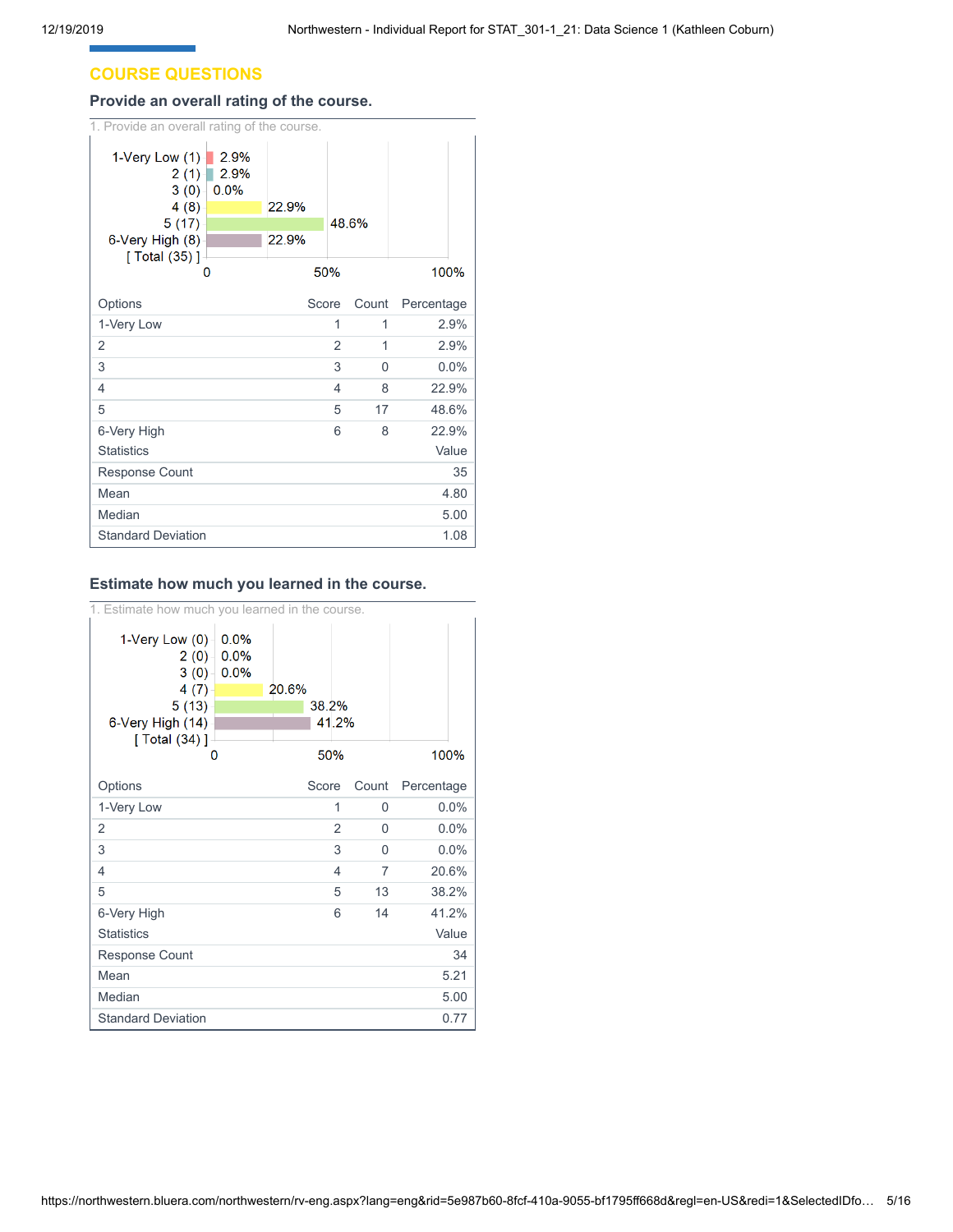## **COURSE QUESTIONS**

#### **Provide an overall rating of the course.**

| 1. Provide an overall rating of the course.                                                |                                     |                |                |          |            |
|--------------------------------------------------------------------------------------------|-------------------------------------|----------------|----------------|----------|------------|
| 1-Very Low (1)-<br>2(1)<br>3(0)<br>4(8)<br>5(17)<br>6-Very High (8)<br>[ Total (35) ]<br>0 | $\blacksquare$ 2.9%<br>2.9%<br>0.0% | 22.9%<br>22.9% | 50%            | 48.6%    | 100%       |
|                                                                                            |                                     |                |                |          |            |
| Options                                                                                    |                                     | Score          |                | Count    | Percentage |
| 1-Very Low                                                                                 |                                     |                | 1              | 1        | 2.9%       |
| 2                                                                                          |                                     |                | $\overline{2}$ | 1        | 2.9%       |
| 3                                                                                          |                                     |                | 3              | $\Omega$ | 0.0%       |
| 4                                                                                          |                                     |                | 4              | 8        | 22.9%      |
| 5                                                                                          |                                     |                | 5              | 17       | 48.6%      |
| 6-Very High                                                                                |                                     |                | 6              | 8        | 22.9%      |
| <b>Statistics</b>                                                                          |                                     |                |                |          | Value      |
| <b>Response Count</b>                                                                      |                                     |                |                |          | 35         |
| Mean                                                                                       |                                     |                |                |          | 4.80       |
| Median                                                                                     |                                     |                |                |          | 5.00       |
| <b>Standard Deviation</b>                                                                  |                                     |                |                |          | 1.08       |

#### **Estimate how much you learned in the course.**

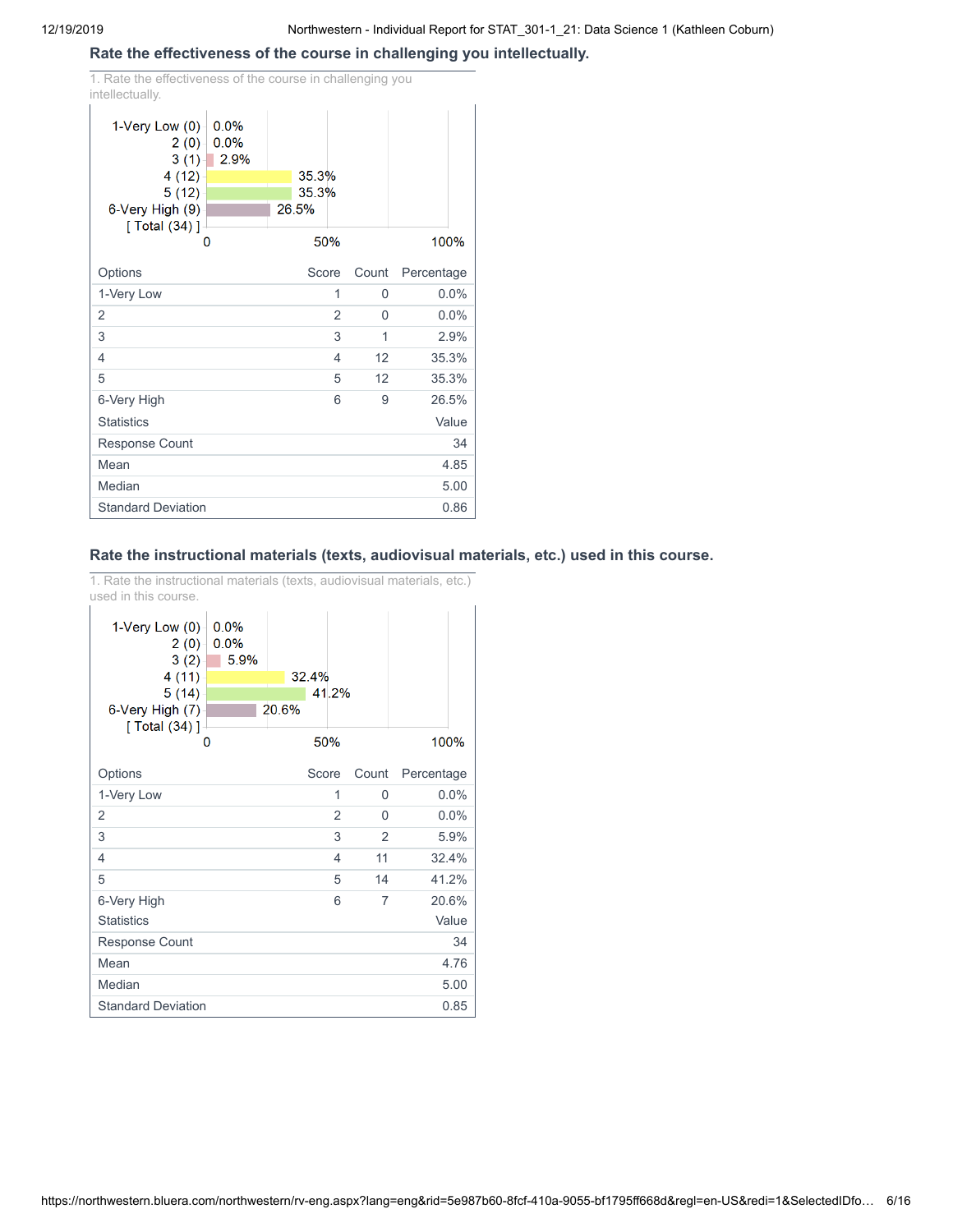#### **Rate the effectiveness of the course in challenging you intellectually.**

1. Rate the effectiveness of the course in challenging you intellectually.

| .<br>1-Very Low (0)<br>0.0%                                                                   |                         |       |            |
|-----------------------------------------------------------------------------------------------|-------------------------|-------|------------|
| 2(0)<br>0.0%<br>$\sqrt{2.9\%}$<br>3(1)<br>4(12)<br>5(12)<br>6-Very High (9)<br>[ Total (34) ] | 35.3%<br>35.3%<br>26.5% |       |            |
| O                                                                                             | 50%                     |       | 100%       |
| Options                                                                                       | Score                   | Count | Percentage |
| 1-Very Low                                                                                    | 1                       | 0     | 0.0%       |
| 2                                                                                             | 2                       | 0     | 0.0%       |
| 3                                                                                             | 3                       | 1     | 2.9%       |
| 4                                                                                             | $\overline{4}$          | 12    | 35.3%      |
| 5                                                                                             | 5                       | 12    | 35.3%      |
| 6-Very High                                                                                   | 6                       | 9     | 26.5%      |
| <b>Statistics</b>                                                                             |                         |       | Value      |
| <b>Response Count</b>                                                                         |                         |       | 34         |
| Mean                                                                                          |                         |       | 4.85       |
| Median                                                                                        |                         |       | 5.00       |
| <b>Standard Deviation</b>                                                                     |                         |       | 0.86       |

## **Rate the instructional materials (texts, audiovisual materials, etc.) used in this course.**

1. Rate the instructional materials (texts, audiovisual materials, etc.) used in this course.

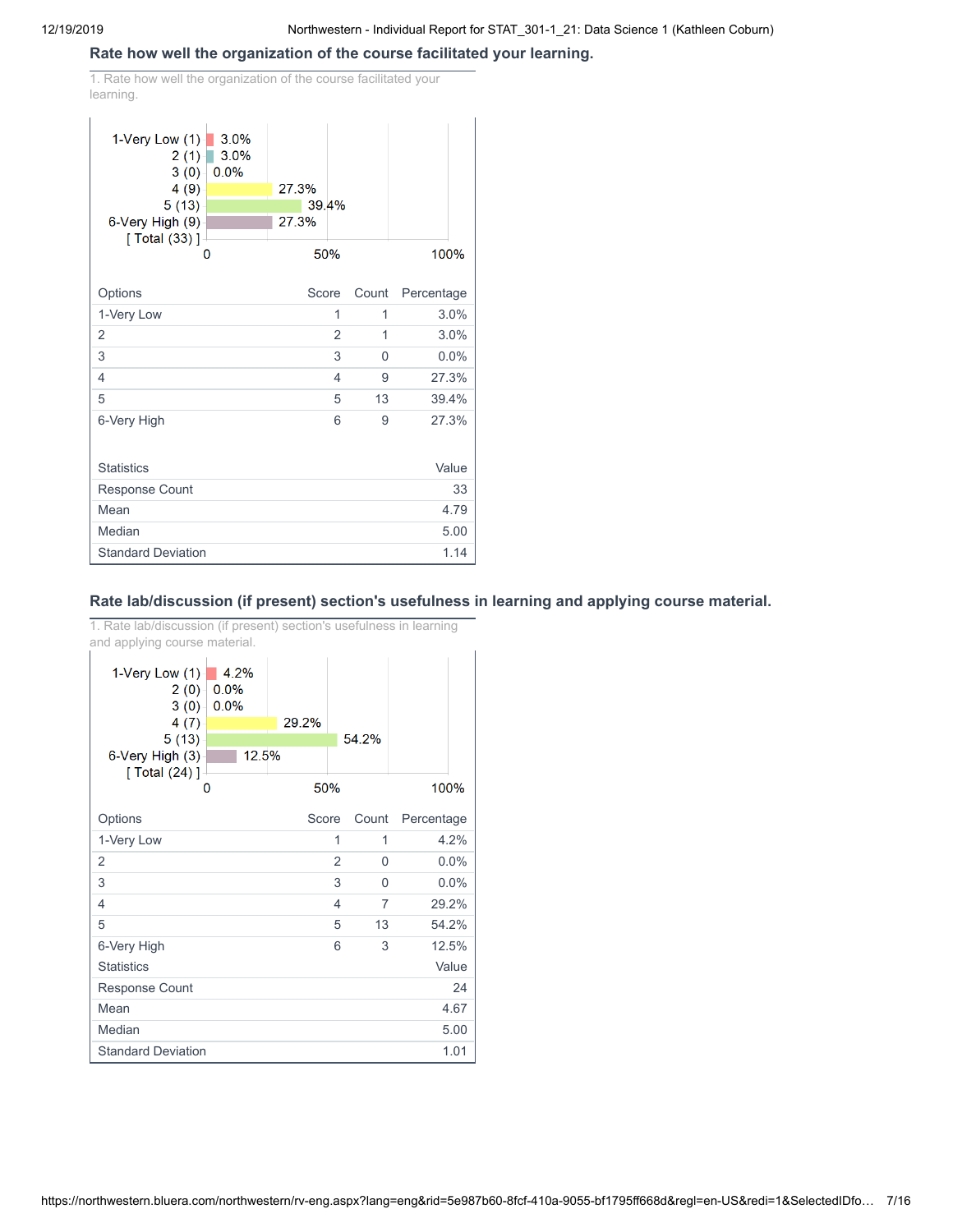#### **Rate how well the organization of the course facilitated your learning.**

1. Rate how well the organization of the course facilitated your learning.

| 1-Very Low $(1)$<br>3.0%<br>2(1)<br>3(0)<br>0.0%<br>4(9)<br>5(13)<br>6-Very High (9)<br>[ Total (33) ]<br>O | 3.0%<br>27.3%<br>39.4%<br>27.3%<br>50% |       | 100%       |
|-------------------------------------------------------------------------------------------------------------|----------------------------------------|-------|------------|
|                                                                                                             |                                        |       |            |
| Options                                                                                                     | Score                                  | Count | Percentage |
| 1-Very Low                                                                                                  | 1                                      | 1     | 3.0%       |
| 2                                                                                                           | $\overline{2}$                         | 1     | 3.0%       |
| 3                                                                                                           | 3                                      | 0     | 0.0%       |
| 4                                                                                                           | 4                                      | 9     | 27.3%      |
| 5                                                                                                           | 5                                      | 13    | 39.4%      |
| 6-Very High                                                                                                 | 6                                      | 9     | 27.3%      |
| <b>Statistics</b>                                                                                           |                                        |       | Value      |
| Response Count                                                                                              |                                        |       | 33         |
| Mean                                                                                                        |                                        |       | 4.79       |
| Median                                                                                                      |                                        |       | 5.00       |
| <b>Standard Deviation</b>                                                                                   |                                        |       | 1.14       |

## **Rate lab/discussion (if present) section's usefulness in learning and applying course material.**

1. Rate lab/discussion (if present) section's usefulness in learning and applying course material.

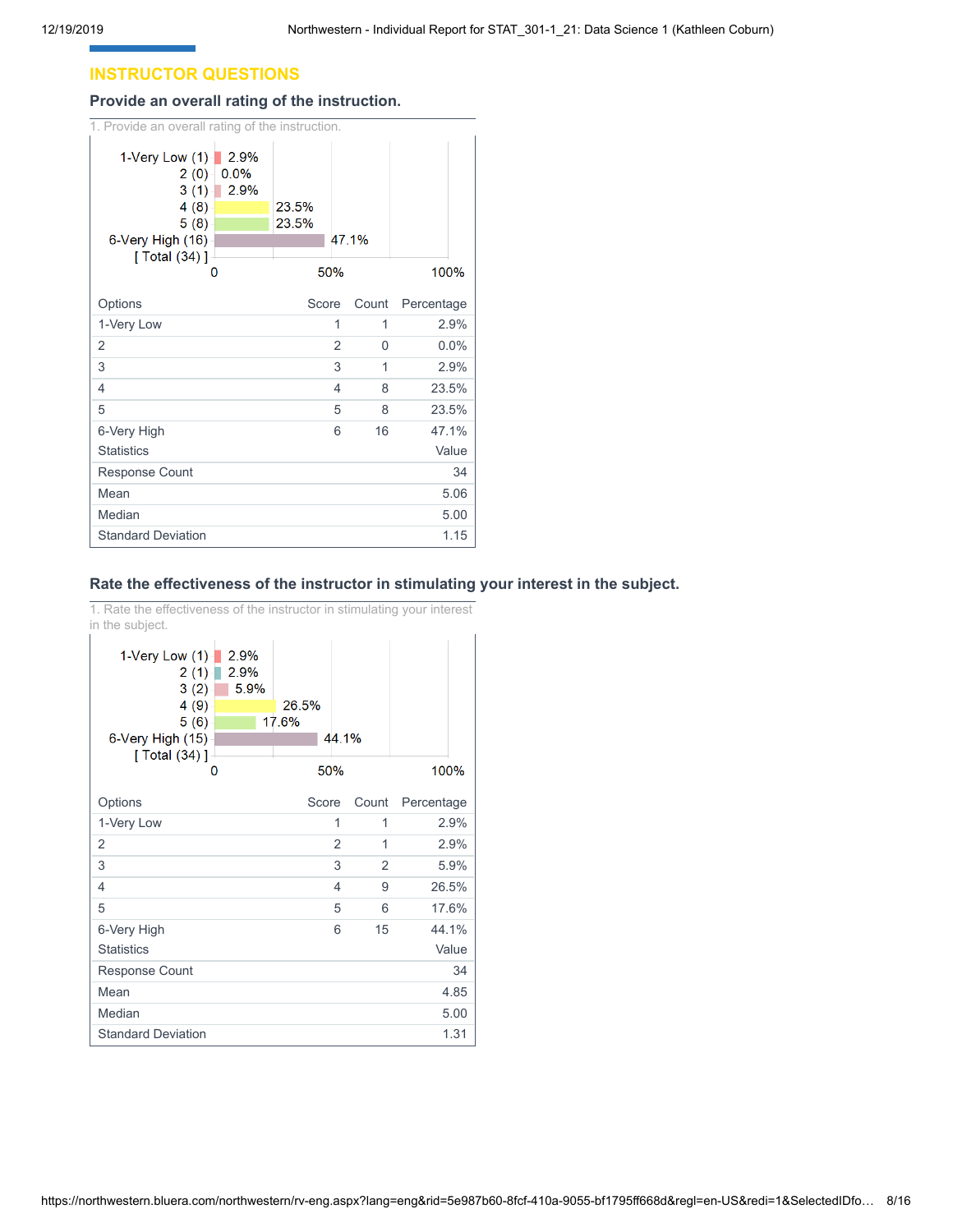## **INSTRUCTOR QUESTIONS**

#### **Provide an overall rating of the instruction.**

| 1. Provide an overall rating of the instruction.                                       |                           |                |                |       |            |
|----------------------------------------------------------------------------------------|---------------------------|----------------|----------------|-------|------------|
| 1-Very Low (1)<br>2(0)<br>3(1)<br>4(8)<br>5(8)<br>6-Very High (16)<br>[ Total $(34)$ ] | 2.9%<br>0.0%<br>2.9%<br>n | 23.5%<br>23.5% | 50%            | 47.1% | 100%       |
| Options                                                                                |                           | Score          |                | Count | Percentage |
| 1-Very Low                                                                             |                           |                | 1              | 1     | 2.9%       |
| 2                                                                                      |                           |                | $\overline{2}$ | 0     | 0.0%       |
| 3                                                                                      |                           |                | 3              | 1     | 2.9%       |
| 4                                                                                      |                           |                | 4              | 8     | 23.5%      |
| 5                                                                                      |                           |                | 5              | 8     | 23.5%      |
| 6-Very High                                                                            |                           |                | 6              | 16    | 47.1%      |
| <b>Statistics</b>                                                                      |                           |                |                |       | Value      |
| <b>Response Count</b>                                                                  |                           |                |                |       | 34         |
| Mean                                                                                   |                           |                |                |       | 5.06       |
| Median                                                                                 |                           |                |                |       | 5.00       |
| <b>Standard Deviation</b>                                                              |                           |                |                |       | 1.15       |

## **Rate the effectiveness of the instructor in stimulating your interest in the subject.**

1. Rate the effectiveness of the instructor in stimulating your interest in the subject.

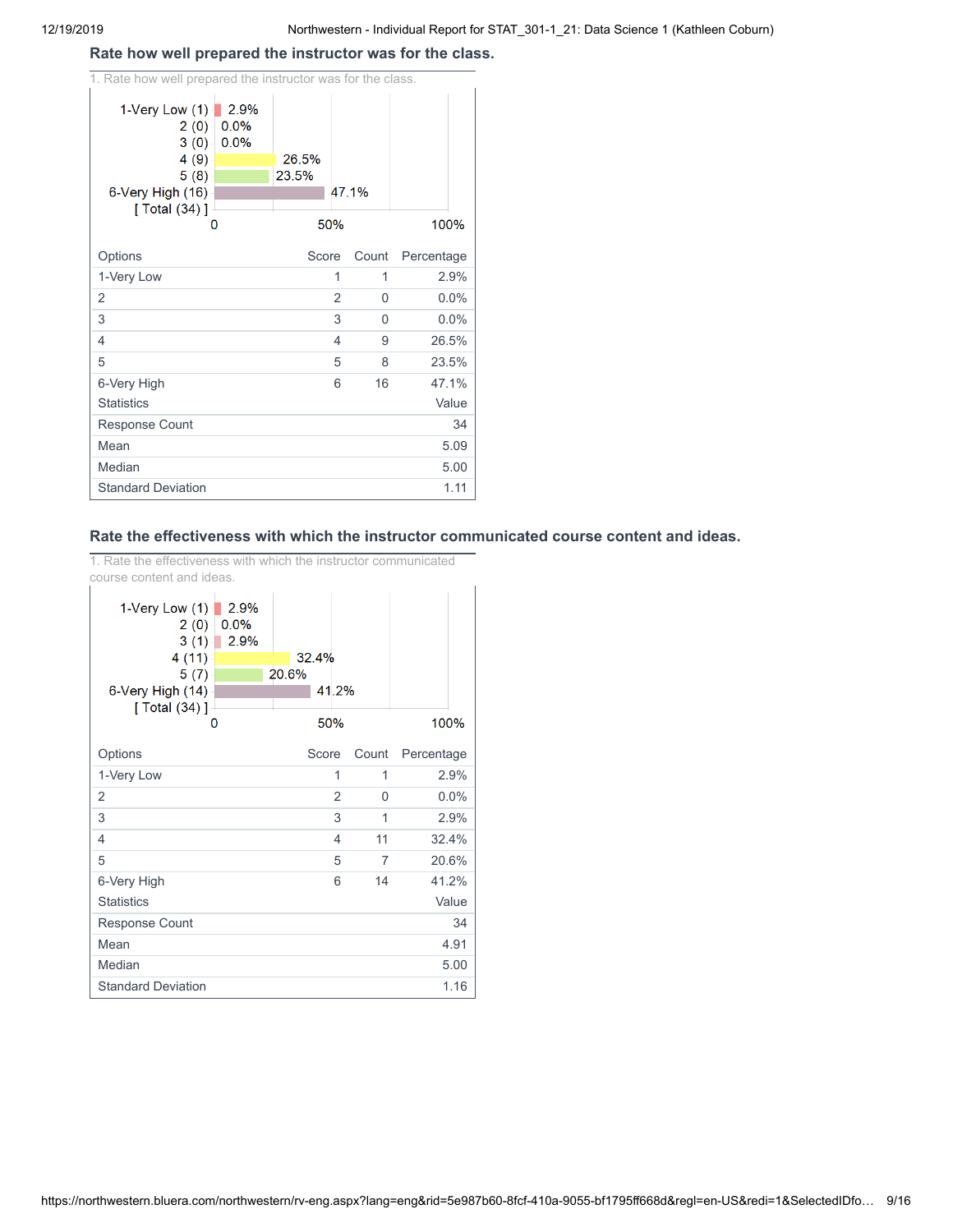## **Rate how well prepared the instructor was for the class.**

| 1. Rate how well prepared the instructor was for the class.                                                     |                |                     |            |
|-----------------------------------------------------------------------------------------------------------------|----------------|---------------------|------------|
| 1-Very Low $(1)$<br>2.9%<br>0.0%<br>2(0)<br>3(0)<br>0.0%<br>4 (9)<br>5(8)<br>6-Very High (16)<br>[ Total (34) ] | 26.5%<br>23.5% | 47.1%               |            |
| O                                                                                                               | 50%            |                     | 100%       |
| Options                                                                                                         | Score          | Count               | Percentage |
| 1-Very Low                                                                                                      |                | 1<br>1              | 2.9%       |
| 2                                                                                                               |                | $\overline{2}$<br>0 | 0.0%       |
| 3                                                                                                               |                | 3<br>0              | 0.0%       |
| 4                                                                                                               |                | 4<br>9              | 26.5%      |
| 5                                                                                                               |                | 5<br>8              | 23.5%      |
| 6-Very High                                                                                                     |                | 16<br>6             | 47.1%      |
| <b>Statistics</b>                                                                                               |                |                     | Value      |
| <b>Response Count</b>                                                                                           |                |                     | 34         |
| Mean                                                                                                            |                |                     | 5.09       |
| Median                                                                                                          |                |                     | 5.00       |
| <b>Standard Deviation</b>                                                                                       |                |                     | 1.11       |

## **Rate the effectiveness with which the instructor communicated course content and ideas.**

1. Rate the effectiveness with which the instructor communicated course content and ideas.

| 1-Very Low $(1)$<br>2.9%<br>0.0%<br>2(0)<br>2.9%<br>3(1)<br>4(11)<br>5(7)<br>6-Very High (14)<br>[ Total (34) ] | 32.4%<br>20.6%<br>41.2% |       |            |
|-----------------------------------------------------------------------------------------------------------------|-------------------------|-------|------------|
| o                                                                                                               | 50%                     |       | 100%       |
| Options                                                                                                         | Score                   | Count | Percentage |
| 1-Very Low                                                                                                      | 1                       | 1     | 2.9%       |
| 2                                                                                                               | $\overline{2}$          | 0     | 0.0%       |
| 3                                                                                                               | 3                       | 1     | 2.9%       |
| 4                                                                                                               | 4                       | 11    | 32.4%      |
| 5                                                                                                               | 5                       | 7     | 20.6%      |
| 6-Very High                                                                                                     | 6                       | 14    | 41.2%      |
| <b>Statistics</b>                                                                                               |                         |       | Value      |
| <b>Response Count</b>                                                                                           |                         |       | 34         |
| Mean                                                                                                            |                         |       | 4.91       |
| Median                                                                                                          |                         |       | 5.00       |
| <b>Standard Deviation</b>                                                                                       |                         |       | 1.16       |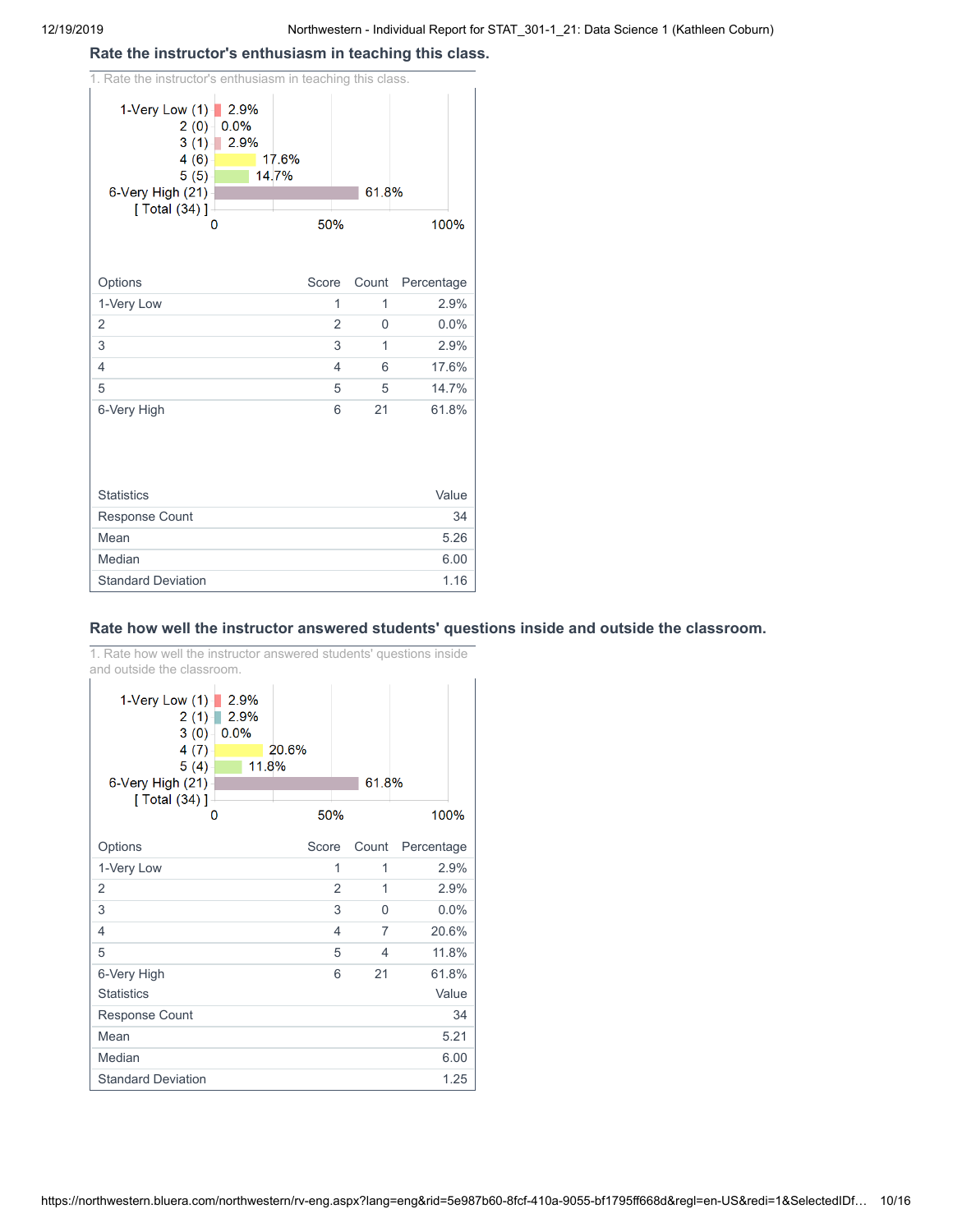#### **Rate the instructor's enthusiasm in teaching this class.**

| 1. Rate the instructor's enthusiasm in teaching this class.                            |                      |                |                |       |            |
|----------------------------------------------------------------------------------------|----------------------|----------------|----------------|-------|------------|
| 1-Very Low $(1)$<br>2(0)<br>3(1)<br>4(6)<br>5(5)<br>6-Very High (21)<br>[ Total (34) ] | 2.9%<br>0.0%<br>2.9% | 17.6%<br>14.7% |                | 61.8% |            |
|                                                                                        | 0                    | 50%            |                |       | 100%       |
|                                                                                        |                      |                |                |       |            |
| Options                                                                                |                      | Score          |                | Count | Percentage |
| 1-Very Low                                                                             |                      |                | 1              | 1     | 2.9%       |
| $\overline{2}$                                                                         |                      |                | $\overline{2}$ | 0     | 0.0%       |
| 3                                                                                      |                      |                | 3              | 1     | 2.9%       |
| $\overline{4}$                                                                         |                      |                | 4              | 6     | 17.6%      |
| 5                                                                                      |                      |                | 5              | 5     | 14.7%      |
| 6-Very High                                                                            |                      |                | 6              | 21    | 61.8%      |
|                                                                                        |                      |                |                |       |            |
| <b>Statistics</b>                                                                      |                      |                |                |       | Value      |
| <b>Response Count</b>                                                                  |                      |                |                |       | 34         |
| Mean                                                                                   |                      |                |                |       | 5.26       |
| Median                                                                                 |                      |                |                |       | 6.00       |
| <b>Standard Deviation</b>                                                              |                      |                |                |       | 1.16       |

## **Rate how well the instructor answered students' questions inside and outside the classroom.**

1. Rate how well the instructor answered students' questions inside and outside the classroom.

| 1-Very Low (1)<br>2(1)<br>3(0)<br>4(7)<br>5(4)<br>6-Very High (21)<br>[ Total (34) ] | 2.9%<br>2.9%<br>0.0%<br>11.8% | 20.6% | 61.8%                            |            |
|--------------------------------------------------------------------------------------|-------------------------------|-------|----------------------------------|------------|
| O                                                                                    |                               | 50%   |                                  | 100%       |
| Options                                                                              |                               | Score | Count                            | Percentage |
| 1-Very Low                                                                           |                               |       | 1<br>1                           | 2.9%       |
| 2                                                                                    |                               |       | $\overline{2}$<br>1              | 2.9%       |
| 3                                                                                    |                               |       | 3<br>$\Omega$                    | 0.0%       |
| 4                                                                                    |                               |       | $\overline{7}$<br>$\overline{4}$ | 20.6%      |
| 5                                                                                    |                               |       | 5<br>4                           | 11.8%      |
| 6-Very High                                                                          |                               |       | 21<br>6                          | 61.8%      |
| <b>Statistics</b>                                                                    |                               |       |                                  | Value      |
| <b>Response Count</b>                                                                |                               |       |                                  | 34         |
| Mean                                                                                 |                               |       |                                  | 5.21       |
| Median                                                                               |                               |       |                                  | 6.00       |
| <b>Standard Deviation</b>                                                            |                               |       |                                  | 1.25       |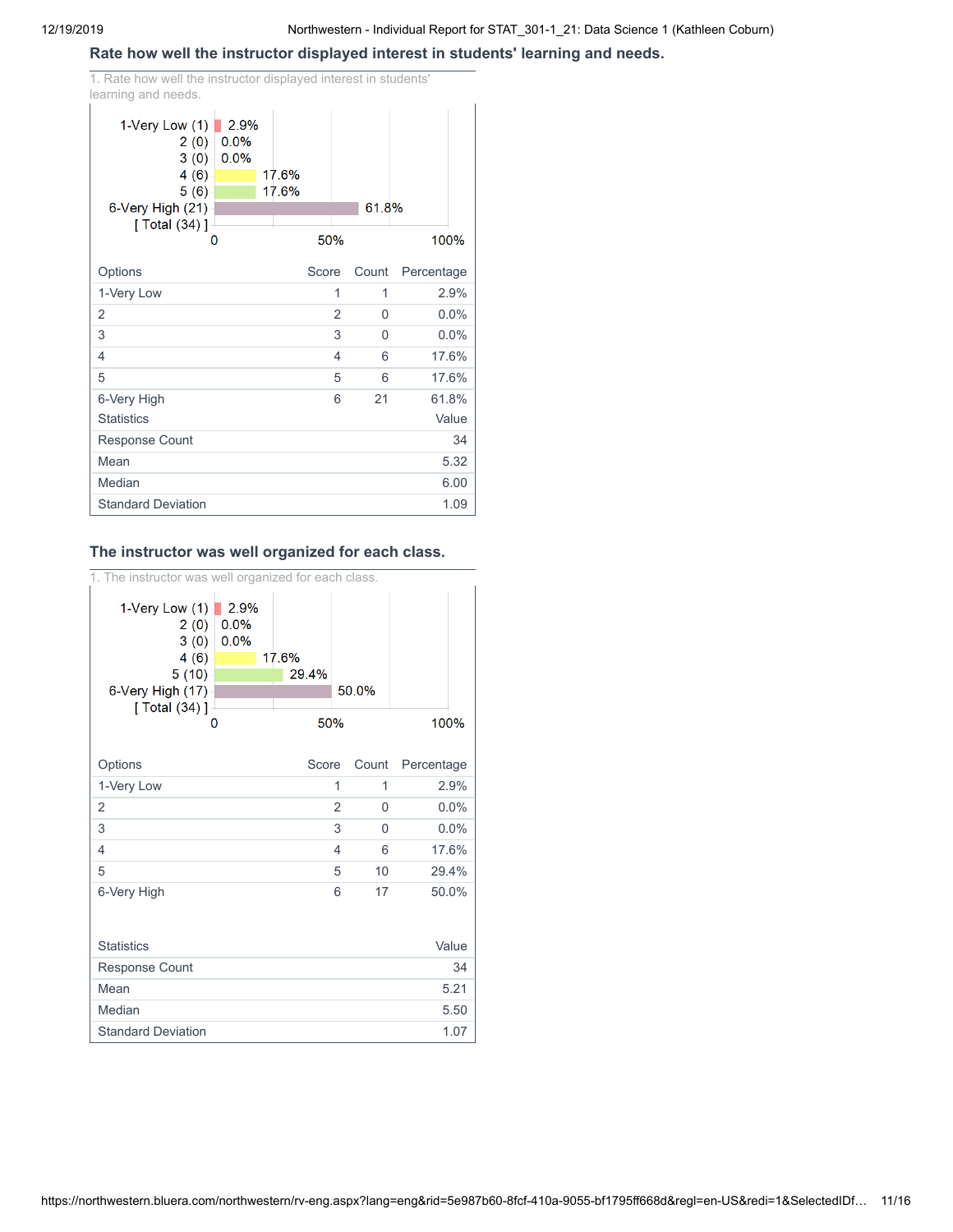## **Rate how well the instructor displayed interest in students' learning and needs.**

1. Rate how well the instructor displayed interest in students' learning and needs.

| 1-Very Low $(1)$<br>2(0)<br>3(0)<br>4(6)<br>5(6)<br>6-Very High (21)<br>[ Total $(34)$ ] | 2.9%<br>0.0%<br>0.0% | 17.6%<br>17.6% |                | 61.8%    |            |
|------------------------------------------------------------------------------------------|----------------------|----------------|----------------|----------|------------|
|                                                                                          | 0                    |                | 50%            |          | 100%       |
| Options                                                                                  |                      |                | Score          | Count    | Percentage |
| 1-Very Low                                                                               |                      |                | 1              | 1        | 2.9%       |
| $\overline{2}$                                                                           |                      |                | $\overline{2}$ | $\Omega$ | 0.0%       |
| 3                                                                                        |                      |                | 3              | $\Omega$ | 0.0%       |
| 4                                                                                        |                      |                | 4              | 6        | 17.6%      |
| 5                                                                                        |                      |                | 5              | 6        | 17.6%      |
| 6-Very High                                                                              |                      |                | 6              | 21       | 61.8%      |
| <b>Statistics</b>                                                                        |                      |                |                |          | Value      |
| Response Count                                                                           |                      |                |                |          | 34         |
| Mean                                                                                     |                      |                |                |          | 5.32       |
| Median                                                                                   |                      |                |                |          | 6.00       |
| <b>Standard Deviation</b>                                                                |                      |                |                |          | 1.09       |

## **The instructor was well organized for each class.**

1. The instructor was well organized for each class.

| 1-Very Low (1)-<br>2.9%<br>2(0)<br>0.0%<br>3(0)<br>0.0%<br>4(6)<br>5(10)<br>6-Very High (17)<br>[ Total (34) ]<br>0 | 17.6%<br>29.4%<br>50% | 50.0%        | 100%       |
|---------------------------------------------------------------------------------------------------------------------|-----------------------|--------------|------------|
|                                                                                                                     |                       |              |            |
| Options                                                                                                             | Score                 | Count        | Percentage |
| 1-Very Low                                                                                                          | 1                     | 1            | 2.9%       |
| 2                                                                                                                   | $\overline{2}$        | $\mathbf{0}$ | 0.0%       |
| 3                                                                                                                   | 3                     | $\Omega$     | 0.0%       |
| 4                                                                                                                   | 4                     | 6            | 17.6%      |
| 5                                                                                                                   | 5                     | 10           | 29.4%      |
| 6-Very High                                                                                                         | 6                     | 17           | 50.0%      |
| <b>Statistics</b>                                                                                                   |                       |              | Value      |
| <b>Response Count</b>                                                                                               |                       |              | 34         |
| Mean                                                                                                                |                       |              | 5.21       |
| Median                                                                                                              |                       |              | 5.50       |
| <b>Standard Deviation</b>                                                                                           |                       |              | 1.07       |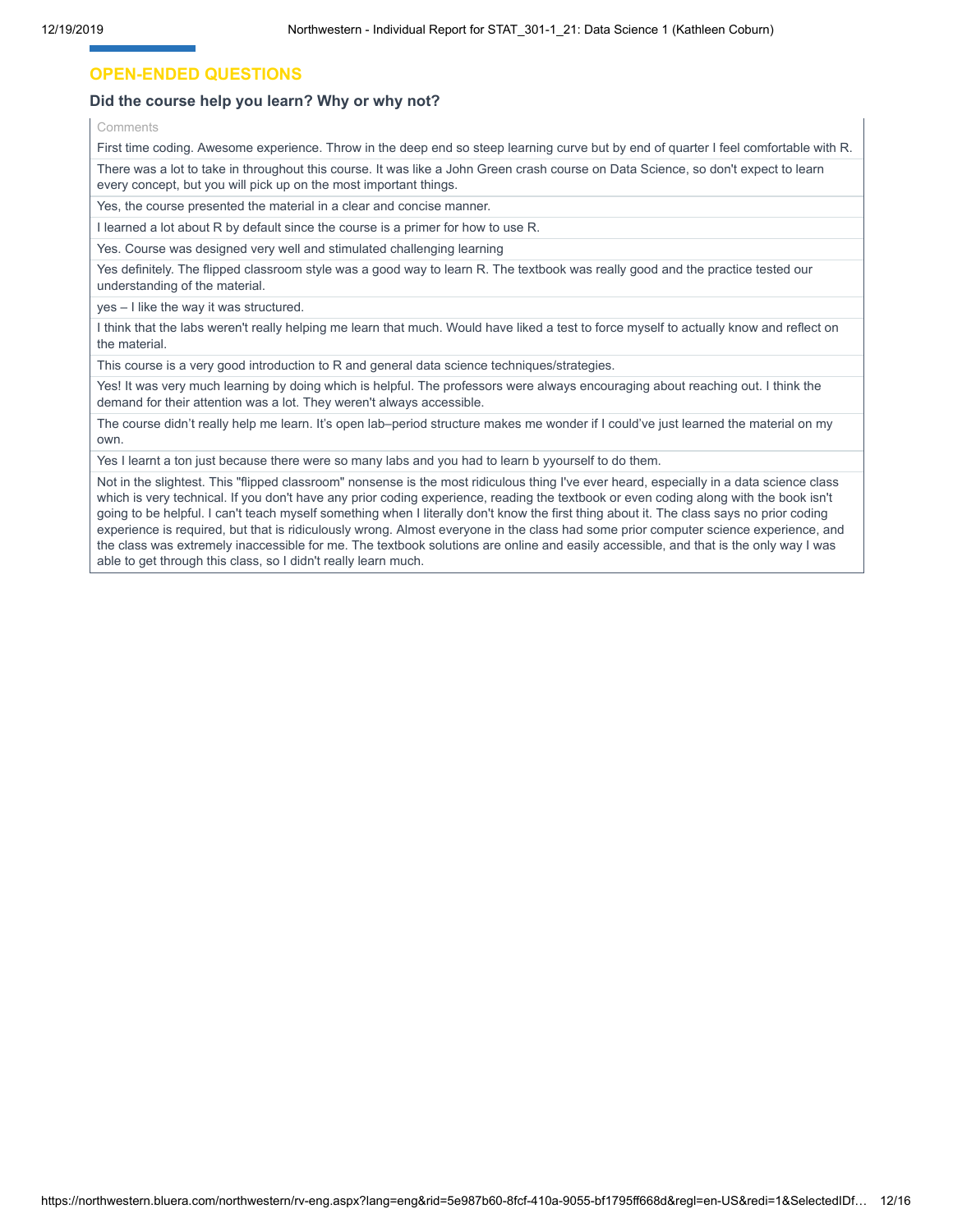## **OPEN-ENDED QUESTIONS**

#### **Did the course help you learn? Why or why not?**

Comments

First time coding. Awesome experience. Throw in the deep end so steep learning curve but by end of quarter I feel comfortable with R. There was a lot to take in throughout this course. It was like a John Green crash course on Data Science, so don't expect to learn every concept, but you will pick up on the most important things.

Yes, the course presented the material in a clear and concise manner.

I learned a lot about R by default since the course is a primer for how to use R.

Yes. Course was designed very well and stimulated challenging learning

Yes definitely. The flipped classroom style was a good way to learn R. The textbook was really good and the practice tested our understanding of the material.

yes – I like the way it was structured.

I think that the labs weren't really helping me learn that much. Would have liked a test to force myself to actually know and reflect on the material.

This course is a very good introduction to R and general data science techniques/strategies.

Yes! It was very much learning by doing which is helpful. The professors were always encouraging about reaching out. I think the demand for their attention was a lot. They weren't always accessible.

The course didn't really help me learn. It's open lab–period structure makes me wonder if I could've just learned the material on my own.

Yes I learnt a ton just because there were so many labs and you had to learn b yyourself to do them.

Not in the slightest. This "flipped classroom" nonsense is the most ridiculous thing I've ever heard, especially in a data science class which is very technical. If you don't have any prior coding experience, reading the textbook or even coding along with the book isn't going to be helpful. I can't teach myself something when I literally don't know the first thing about it. The class says no prior coding experience is required, but that is ridiculously wrong. Almost everyone in the class had some prior computer science experience, and the class was extremely inaccessible for me. The textbook solutions are online and easily accessible, and that is the only way I was able to get through this class, so I didn't really learn much.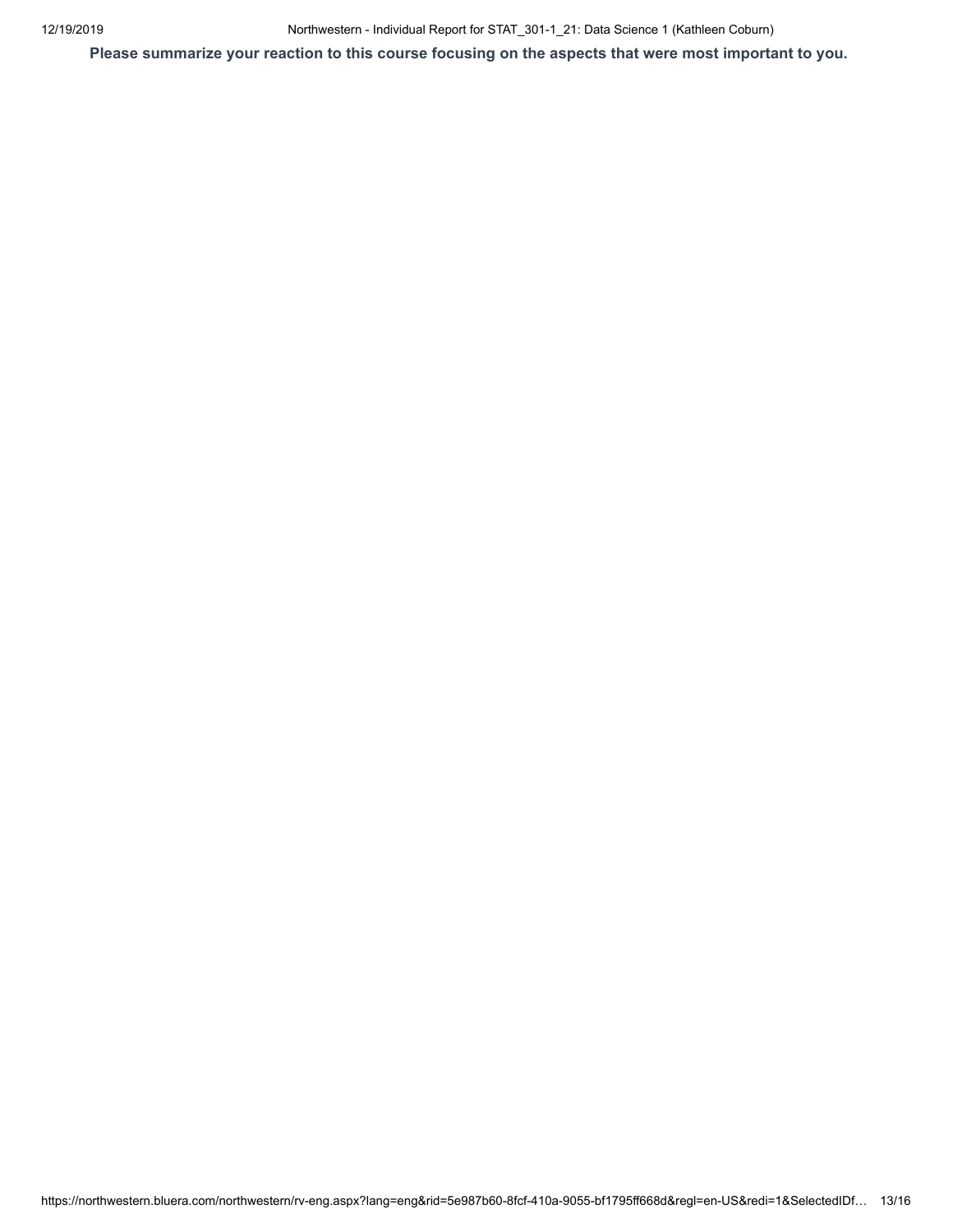12/19/2019 Northwestern - Individual Report for STAT\_301-1\_21: Data Science 1 (Kathleen Coburn)

**Please summarize your reaction to this course focusing on the aspects that were most important to you.**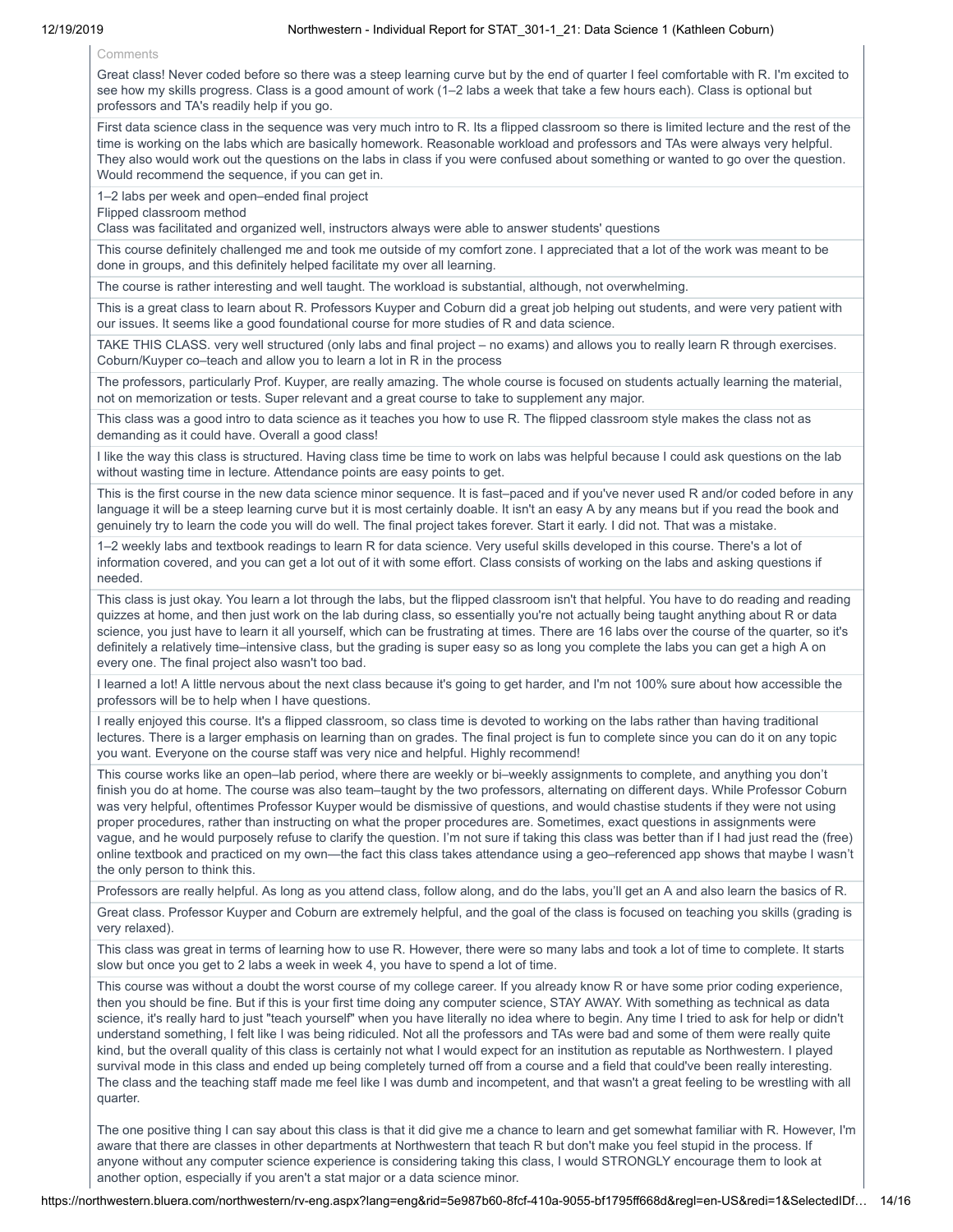Comments

Great class! Never coded before so there was a steep learning curve but by the end of quarter I feel comfortable with R. I'm excited to see how my skills progress. Class is a good amount of work (1–2 labs a week that take a few hours each). Class is optional but professors and TA's readily help if you go.

First data science class in the sequence was very much intro to R. Its a flipped classroom so there is limited lecture and the rest of the time is working on the labs which are basically homework. Reasonable workload and professors and TAs were always very helpful. They also would work out the questions on the labs in class if you were confused about something or wanted to go over the question. Would recommend the sequence, if you can get in.

1–2 labs per week and open–ended final project

Flipped classroom method

Class was facilitated and organized well, instructors always were able to answer students' questions

This course definitely challenged me and took me outside of my comfort zone. I appreciated that a lot of the work was meant to be done in groups, and this definitely helped facilitate my over all learning.

The course is rather interesting and well taught. The workload is substantial, although, not overwhelming.

This is a great class to learn about R. Professors Kuyper and Coburn did a great job helping out students, and were very patient with our issues. It seems like a good foundational course for more studies of R and data science.

TAKE THIS CLASS. very well structured (only labs and final project – no exams) and allows you to really learn R through exercises. Coburn/Kuyper co–teach and allow you to learn a lot in R in the process

The professors, particularly Prof. Kuyper, are really amazing. The whole course is focused on students actually learning the material, not on memorization or tests. Super relevant and a great course to take to supplement any major.

This class was a good intro to data science as it teaches you how to use R. The flipped classroom style makes the class not as demanding as it could have. Overall a good class!

I like the way this class is structured. Having class time be time to work on labs was helpful because I could ask questions on the lab without wasting time in lecture. Attendance points are easy points to get.

This is the first course in the new data science minor sequence. It is fast–paced and if you've never used R and/or coded before in any language it will be a steep learning curve but it is most certainly doable. It isn't an easy A by any means but if you read the book and genuinely try to learn the code you will do well. The final project takes forever. Start it early. I did not. That was a mistake.

1–2 weekly labs and textbook readings to learn R for data science. Very useful skills developed in this course. There's a lot of information covered, and you can get a lot out of it with some effort. Class consists of working on the labs and asking questions if needed.

This class is just okay. You learn a lot through the labs, but the flipped classroom isn't that helpful. You have to do reading and reading quizzes at home, and then just work on the lab during class, so essentially you're not actually being taught anything about R or data science, you just have to learn it all yourself, which can be frustrating at times. There are 16 labs over the course of the quarter, so it's definitely a relatively time–intensive class, but the grading is super easy so as long you complete the labs you can get a high A on every one. The final project also wasn't too bad.

I learned a lot! A little nervous about the next class because it's going to get harder, and I'm not 100% sure about how accessible the professors will be to help when I have questions.

I really enjoyed this course. It's a flipped classroom, so class time is devoted to working on the labs rather than having traditional lectures. There is a larger emphasis on learning than on grades. The final project is fun to complete since you can do it on any topic you want. Everyone on the course staff was very nice and helpful. Highly recommend!

This course works like an open–lab period, where there are weekly or bi–weekly assignments to complete, and anything you don't finish you do at home. The course was also team–taught by the two professors, alternating on different days. While Professor Coburn was very helpful, oftentimes Professor Kuyper would be dismissive of questions, and would chastise students if they were not using proper procedures, rather than instructing on what the proper procedures are. Sometimes, exact questions in assignments were vague, and he would purposely refuse to clarify the question. I'm not sure if taking this class was better than if I had just read the (free) online textbook and practiced on my own—the fact this class takes attendance using a geo–referenced app shows that maybe I wasn't the only person to think this.

Professors are really helpful. As long as you attend class, follow along, and do the labs, you'll get an A and also learn the basics of R.

Great class. Professor Kuyper and Coburn are extremely helpful, and the goal of the class is focused on teaching you skills (grading is very relaxed).

This class was great in terms of learning how to use R. However, there were so many labs and took a lot of time to complete. It starts slow but once you get to 2 labs a week in week 4, you have to spend a lot of time.

This course was without a doubt the worst course of my college career. If you already know R or have some prior coding experience, then you should be fine. But if this is your first time doing any computer science, STAY AWAY. With something as technical as data science, it's really hard to just "teach yourself" when you have literally no idea where to begin. Any time I tried to ask for help or didn't understand something, I felt like I was being ridiculed. Not all the professors and TAs were bad and some of them were really quite kind, but the overall quality of this class is certainly not what I would expect for an institution as reputable as Northwestern. I played survival mode in this class and ended up being completely turned off from a course and a field that could've been really interesting. The class and the teaching staff made me feel like I was dumb and incompetent, and that wasn't a great feeling to be wrestling with all quarter.

The one positive thing I can say about this class is that it did give me a chance to learn and get somewhat familiar with R. However, I'm aware that there are classes in other departments at Northwestern that teach R but don't make you feel stupid in the process. If anyone without any computer science experience is considering taking this class, I would STRONGLY encourage them to look at another option, especially if you aren't a stat major or a data science minor.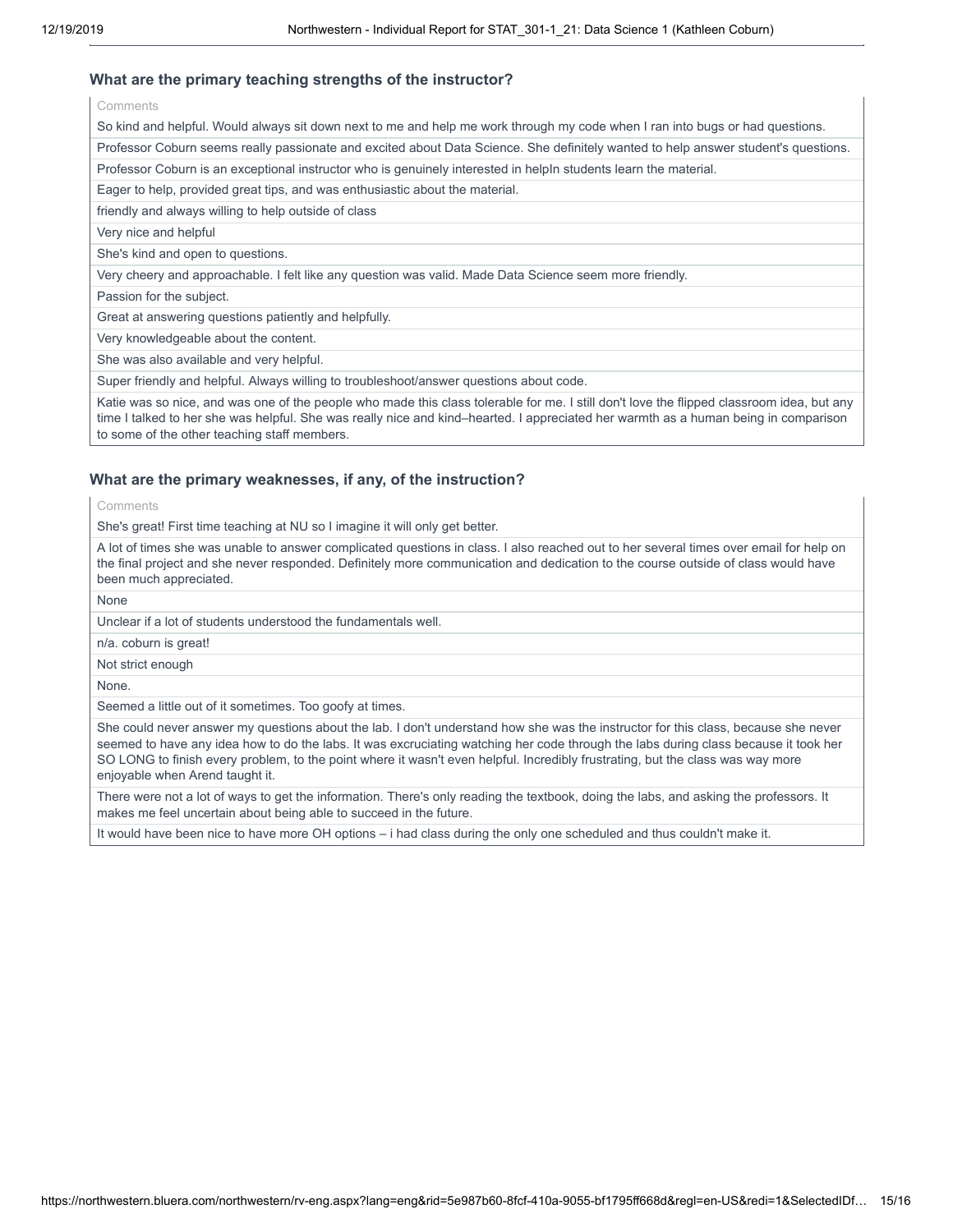## **What are the primary teaching strengths of the instructor?**

**Comments** 

So kind and helpful. Would always sit down next to me and help me work through my code when I ran into bugs or had questions.

Professor Coburn seems really passionate and excited about Data Science. She definitely wanted to help answer student's questions.

Professor Coburn is an exceptional instructor who is genuinely interested in helpIn students learn the material.

Eager to help, provided great tips, and was enthusiastic about the material.

friendly and always willing to help outside of class

Very nice and helpful

She's kind and open to questions.

Very cheery and approachable. I felt like any question was valid. Made Data Science seem more friendly.

Passion for the subject.

Great at answering questions patiently and helpfully.

Very knowledgeable about the content.

She was also available and very helpful.

Super friendly and helpful. Always willing to troubleshoot/answer questions about code.

Katie was so nice, and was one of the people who made this class tolerable for me. I still don't love the flipped classroom idea, but any time I talked to her she was helpful. She was really nice and kind–hearted. I appreciated her warmth as a human being in comparison to some of the other teaching staff members.

## **What are the primary weaknesses, if any, of the instruction?**

Comments

She's great! First time teaching at NU so I imagine it will only get better.

A lot of times she was unable to answer complicated questions in class. I also reached out to her several times over email for help on the final project and she never responded. Definitely more communication and dedication to the course outside of class would have been much appreciated.

None

Unclear if a lot of students understood the fundamentals well.

n/a. coburn is great!

Not strict enough

None.

Seemed a little out of it sometimes. Too goofy at times.

She could never answer my questions about the lab. I don't understand how she was the instructor for this class, because she never seemed to have any idea how to do the labs. It was excruciating watching her code through the labs during class because it took her SO LONG to finish every problem, to the point where it wasn't even helpful. Incredibly frustrating, but the class was way more enjoyable when Arend taught it.

There were not a lot of ways to get the information. There's only reading the textbook, doing the labs, and asking the professors. It makes me feel uncertain about being able to succeed in the future.

It would have been nice to have more OH options – i had class during the only one scheduled and thus couldn't make it.